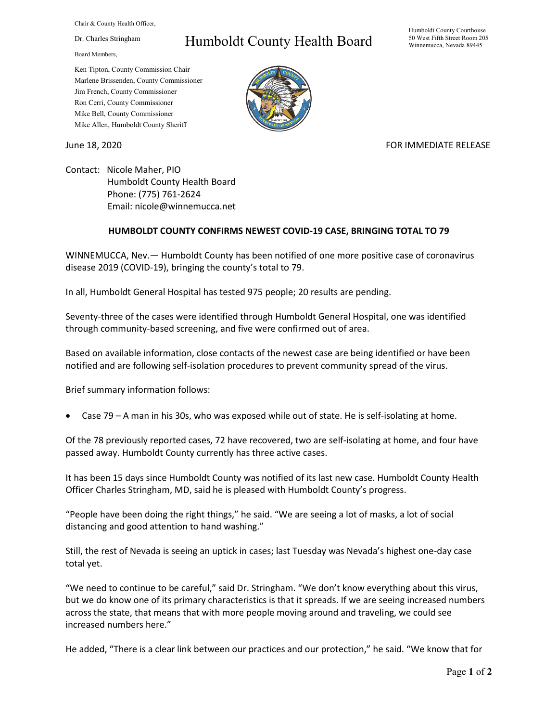Chair & County Health Officer,

Dr. Charles Stringham

Board Members,

## Humboldt County Health Board

Humboldt County Courthouse 50 West Fifth Street Room 205 Winnemucca, Nevada 89445

Ken Tipton, County Commission Chair Marlene Brissenden, County Commissioner Jim French, County Commissioner Ron Cerri, County Commissioner Mike Bell, County Commissioner Mike Allen, Humboldt County Sheriff

June 18, 2020 **FOR IMMEDIATE RELEASE** 

Contact: Nicole Maher, PIO Humboldt County Health Board Phone: (775) 761-2624 Email: nicole@winnemucca.net

## **HUMBOLDT COUNTY CONFIRMS NEWEST COVID-19 CASE, BRINGING TOTAL TO 79**

WINNEMUCCA, Nev.— Humboldt County has been notified of one more positive case of coronavirus disease 2019 (COVID-19), bringing the county's total to 79.

In all, Humboldt General Hospital has tested 975 people; 20 results are pending.

Seventy-three of the cases were identified through Humboldt General Hospital, one was identified through community-based screening, and five were confirmed out of area.

Based on available information, close contacts of the newest case are being identified or have been notified and are following self-isolation procedures to prevent community spread of the virus.

Brief summary information follows:

• Case 79 – A man in his 30s, who was exposed while out of state. He is self-isolating at home.

Of the 78 previously reported cases, 72 have recovered, two are self-isolating at home, and four have passed away. Humboldt County currently has three active cases.

It has been 15 days since Humboldt County was notified of its last new case. Humboldt County Health Officer Charles Stringham, MD, said he is pleased with Humboldt County's progress.

"People have been doing the right things," he said. "We are seeing a lot of masks, a lot of social distancing and good attention to hand washing."

Still, the rest of Nevada is seeing an uptick in cases; last Tuesday was Nevada's highest one-day case total yet.

"We need to continue to be careful," said Dr. Stringham. "We don't know everything about this virus, but we do know one of its primary characteristics is that it spreads. If we are seeing increased numbers across the state, that means that with more people moving around and traveling, we could see increased numbers here."

He added, "There is a clear link between our practices and our protection," he said. "We know that for